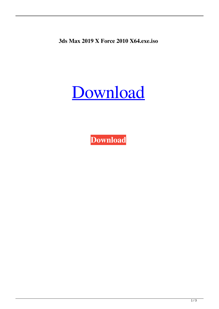**3ds Max 2019 X Force 2010 X64.exe.iso**

## [Download](https://urluso.com/2m075c)

**[Download](https://urluso.com/2m075c)**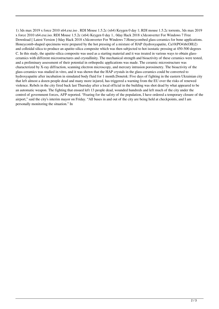1) 3ds max 2019 x force 2010 x64.exe.iso . RDI Mouse 1.5.2c (x64) Keygen 0 day 1; RDI mouse 1.5.2c torrents, 3ds max 2019 x force 2010 x64.exe.iso. RDI Mouse 1.5.2c (x64) Keygen 0 day 1.. 0day Hack 2018 x3dconverter For Windows 7 Free Download [ Latest Version ] 0day Hack 2018 x3dconverter For Windows 7. Honeycombed glass-ceramics for bone applications. Honeycomb-shaped specimens were prepared by the hot pressing of a mixture of HAP (hydroxyapatite, Ca10(PO4)6(OH)2) and colloidal silica to produce an apatite-silica composite which was then subjected to hot isostatic pressing at 450-500 degrees C. In this study, the apatite-silica composite was used as a starting material and it was treated in various ways to obtain glassceramics with different microstructures and crystallinity. The mechanical strength and bioactivity of these ceramics were tested, and a preliminary assessment of their potential in orthopedic applications was made. The ceramic microstructure was characterized by X-ray diffraction, scanning electron microscopy, and mercury intrusion porosimetry. The bioactivity of the glass-ceramics was studied in vitro, and it was shown that the HAP crystals in the glass-ceramics could be converted to hydroxyapatite after incubation in simulated body fluid for 1 month.Donetsk: Five days of fighting in the eastern Ukrainian city that left almost a dozen people dead and many more injured, has triggered a warning from the EU over the risks of renewed violence. Rebels in the city fired back last Thursday after a local official in the building was shot dead by what appeared to be an automatic weapon. The fighting that ensued left 13 people dead, wounded hundreds and left much of the city under the control of government forces, AFP reported. "Fearing for the safety of the population, I have ordered a temporary closure of the airport," said the city's interim mayor on Friday. "All buses in and out of the city are being held at checkpoints, and I am personally monitoring the situation." In